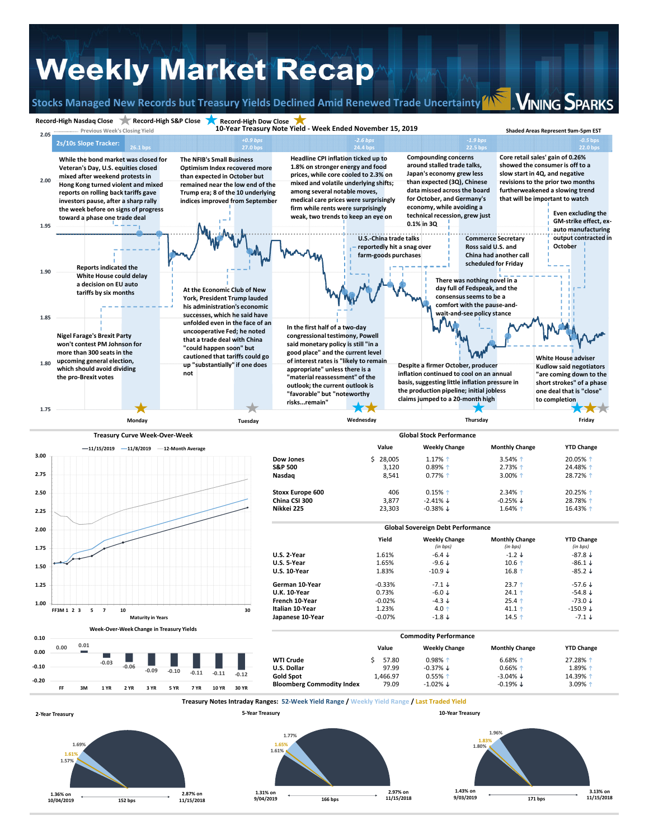## **Weekly Market Recap**

**Record‐High Nasdaq Close Record‐High S&P Close Record‐High Dow Close**

**Stocks Managed New Records but Treasury Yields Declined Amid Renewed Trade Uncertainty**

**VINING SPARKS**